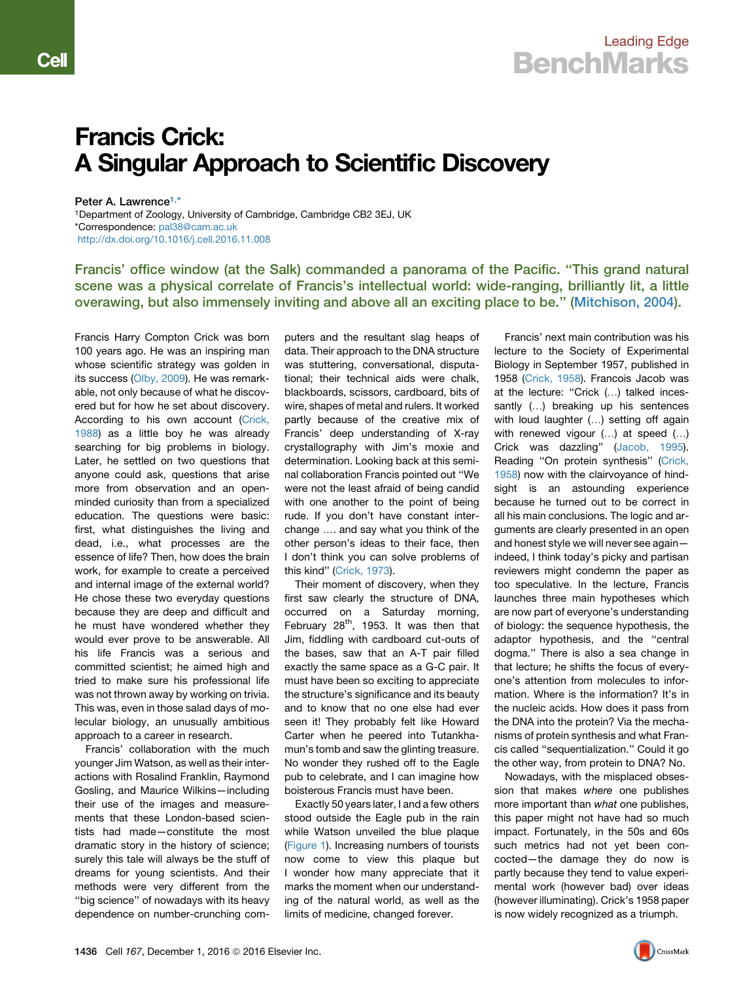## Leading Edge BenchMarks

# Francis Crick: A Singular Approach to Scientific Discovery

Peter A. Lawrence<sup>[1,](#page-0-0)[\\*](#page-0-1)</sup>

<span id="page-0-1"></span><span id="page-0-0"></span>1Department of Zoology, University of Cambridge, Cambridge CB2 3EJ, UK \*Correspondence: [pal38@cam.ac.uk](mailto:pal38@cam.ac.uk) <http://dx.doi.org/10.1016/j.cell.2016.11.008>

Francis' office window (at the Salk) commanded a panorama of the Pacific. ''This grand natural scene was a physical correlate of Francis's intellectual world: wide-ranging, brilliantly lit, a little overawing, but also immensely inviting and above all an exciting place to be.'' [\(Mitchison, 2004\)](#page-3-0).

Francis Harry Compton Crick was born 100 years ago. He was an inspiring man whose scientific strategy was golden in its success ([Olby, 2009\)](#page-3-1). He was remarkable, not only because of what he discovered but for how he set about discovery. According to his own account [\(Crick,](#page-3-2) [1988](#page-3-2)) as a little boy he was already searching for big problems in biology. Later, he settled on two questions that anyone could ask, questions that arise more from observation and an openminded curiosity than from a specialized education. The questions were basic: first, what distinguishes the living and dead, i.e., what processes are the essence of life? Then, how does the brain work, for example to create a perceived and internal image of the external world? He chose these two everyday questions because they are deep and difficult and he must have wondered whether they would ever prove to be answerable. All his life Francis was a serious and committed scientist; he aimed high and tried to make sure his professional life was not thrown away by working on trivia. This was, even in those salad days of molecular biology, an unusually ambitious approach to a career in research.

Francis' collaboration with the much younger Jim Watson, as well as their interactions with Rosalind Franklin, Raymond Gosling, and Maurice Wilkins—including their use of the images and measurements that these London-based scientists had made—constitute the most dramatic story in the history of science; surely this tale will always be the stuff of dreams for young scientists. And their methods were very different from the ''big science'' of nowadays with its heavy dependence on number-crunching computers and the resultant slag heaps of data. Their approach to the DNA structure was stuttering, conversational, disputational; their technical aids were chalk, blackboards, scissors, cardboard, bits of wire, shapes of metal and rulers. It worked partly because of the creative mix of Francis' deep understanding of X-ray crystallography with Jim's moxie and determination. Looking back at this seminal collaboration Francis pointed out ''We were not the least afraid of being candid with one another to the point of being rude. If you don't have constant interchange .... and say what you think of the other person's ideas to their face, then I don't think you can solve problems of this kind'' ([Crick, 1973\)](#page-3-3).

Their moment of discovery, when they first saw clearly the structure of DNA, occurred on a Saturday morning, February  $28<sup>th</sup>$ , 1953. It was then that Jim, fiddling with cardboard cut-outs of the bases, saw that an A-T pair filled exactly the same space as a G-C pair. It must have been so exciting to appreciate the structure's significance and its beauty and to know that no one else had ever seen it! They probably felt like Howard Carter when he peered into Tutankhamun's tomb and saw the glinting treasure. No wonder they rushed off to the Eagle pub to celebrate, and I can imagine how boisterous Francis must have been.

Exactly 50 years later, I and a few others stood outside the Eagle pub in the rain while Watson unveiled the blue plaque [\(Figure 1](#page-1-0)). Increasing numbers of tourists now come to view this plaque but I wonder how many appreciate that it marks the moment when our understanding of the natural world, as well as the limits of medicine, changed forever.

Francis' next main contribution was his lecture to the Society of Experimental Biology in September 1957, published in 1958 [\(Crick, 1958](#page-3-4)). Francois Jacob was at the lecture: "Crick (...) talked incessantly (...) breaking up his sentences with loud laughter (...) setting off again with renewed vigour  $(...)$  at speed  $(...)$ Crick was dazzling'' [\(Jacob, 1995](#page-3-5)). Reading "On protein synthesis" ([Crick,](#page-3-4) [1958](#page-3-4)) now with the clairvoyance of hindsight is an astounding experience because he turned out to be correct in all his main conclusions. The logic and arguments are clearly presented in an open and honest style we will never see again indeed, I think today's picky and partisan reviewers might condemn the paper as too speculative. In the lecture, Francis launches three main hypotheses which are now part of everyone's understanding of biology: the sequence hypothesis, the adaptor hypothesis, and the ''central dogma.'' There is also a sea change in that lecture; he shifts the focus of everyone's attention from molecules to information. Where is the information? It's in the nucleic acids. How does it pass from the DNA into the protein? Via the mechanisms of protein synthesis and what Francis called ''sequentialization.'' Could it go the other way, from protein to DNA? No.

Nowadays, with the misplaced obsession that makes *where* one publishes more important than *what* one publishes, this paper might not have had so much impact. Fortunately, in the 50s and 60s such metrics had not yet been concocted—the damage they do now is partly because they tend to value experimental work (however bad) over ideas (however illuminating). Crick's 1958 paper is now widely recognized as a triumph.

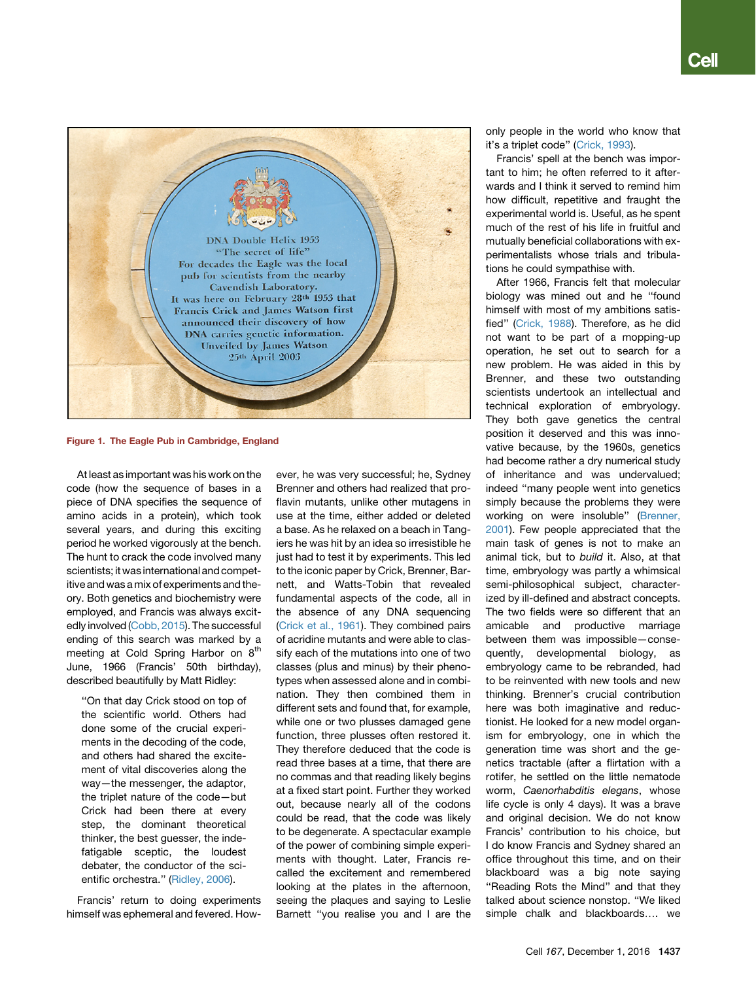<span id="page-1-0"></span>

Figure 1. The Eagle Pub in Cambridge, England

At least as important was his work on the code (how the sequence of bases in a piece of DNA specifies the sequence of amino acids in a protein), which took several years, and during this exciting period he worked vigorously at the bench. The hunt to crack the code involved many scientists; it was international and competitive and was a mix of experiments and theory. Both genetics and biochemistry were employed, and Francis was always excitedly involved [\(Cobb, 2015\)](#page-3-6). The successful ending of this search was marked by a meeting at Cold Spring Harbor on 8<sup>th</sup> June, 1966 (Francis' 50th birthday), described beautifully by Matt Ridley:

''On that day Crick stood on top of the scientific world. Others had done some of the crucial experiments in the decoding of the code, and others had shared the excitement of vital discoveries along the way—the messenger, the adaptor, the triplet nature of the code—but Crick had been there at every step, the dominant theoretical thinker, the best guesser, the indefatigable sceptic, the loudest debater, the conductor of the scientific orchestra.'' ([Ridley, 2006\)](#page-3-7).

Francis' return to doing experiments himself was ephemeral and fevered. However, he was very successful; he, Sydney Brenner and others had realized that proflavin mutants, unlike other mutagens in use at the time, either added or deleted a base. As he relaxed on a beach in Tangiers he was hit by an idea so irresistible he just had to test it by experiments. This led to the iconic paper by Crick, Brenner, Barnett, and Watts-Tobin that revealed fundamental aspects of the code, all in the absence of any DNA sequencing ([Crick et al., 1961](#page-3-8)). They combined pairs of acridine mutants and were able to classify each of the mutations into one of two classes (plus and minus) by their phenotypes when assessed alone and in combination. They then combined them in different sets and found that, for example, while one or two plusses damaged gene function, three plusses often restored it. They therefore deduced that the code is read three bases at a time, that there are no commas and that reading likely begins at a fixed start point. Further they worked out, because nearly all of the codons could be read, that the code was likely to be degenerate. A spectacular example of the power of combining simple experiments with thought. Later, Francis recalled the excitement and remembered looking at the plates in the afternoon, seeing the plaques and saying to Leslie Barnett ''you realise you and I are the

only people in the world who know that it's a triplet code'' ([Crick, 1993](#page-3-9)).

Francis' spell at the bench was important to him; he often referred to it afterwards and I think it served to remind him how difficult, repetitive and fraught the experimental world is. Useful, as he spent much of the rest of his life in fruitful and mutually beneficial collaborations with experimentalists whose trials and tribulations he could sympathise with.

After 1966, Francis felt that molecular biology was mined out and he ''found himself with most of my ambitions satisfied'' ([Crick, 1988](#page-3-2)). Therefore, as he did not want to be part of a mopping-up operation, he set out to search for a new problem. He was aided in this by Brenner, and these two outstanding scientists undertook an intellectual and technical exploration of embryology. They both gave genetics the central position it deserved and this was innovative because, by the 1960s, genetics had become rather a dry numerical study of inheritance and was undervalued; indeed ''many people went into genetics simply because the problems they were working on were insoluble'' ([Brenner,](#page-3-10) [2001\)](#page-3-10). Few people appreciated that the main task of genes is not to make an animal tick, but to *build* it. Also, at that time, embryology was partly a whimsical semi-philosophical subject, characterized by ill-defined and abstract concepts. The two fields were so different that an amicable and productive marriage between them was impossible—consequently, developmental biology, as embryology came to be rebranded, had to be reinvented with new tools and new thinking. Brenner's crucial contribution here was both imaginative and reductionist. He looked for a new model organism for embryology, one in which the generation time was short and the genetics tractable (after a flirtation with a rotifer, he settled on the little nematode worm, *Caenorhabditis elegans*, whose life cycle is only 4 days). It was a brave and original decision. We do not know Francis' contribution to his choice, but I do know Francis and Sydney shared an office throughout this time, and on their blackboard was a big note saying ''Reading Rots the Mind'' and that they talked about science nonstop. ''We liked simple chalk and blackboards.... we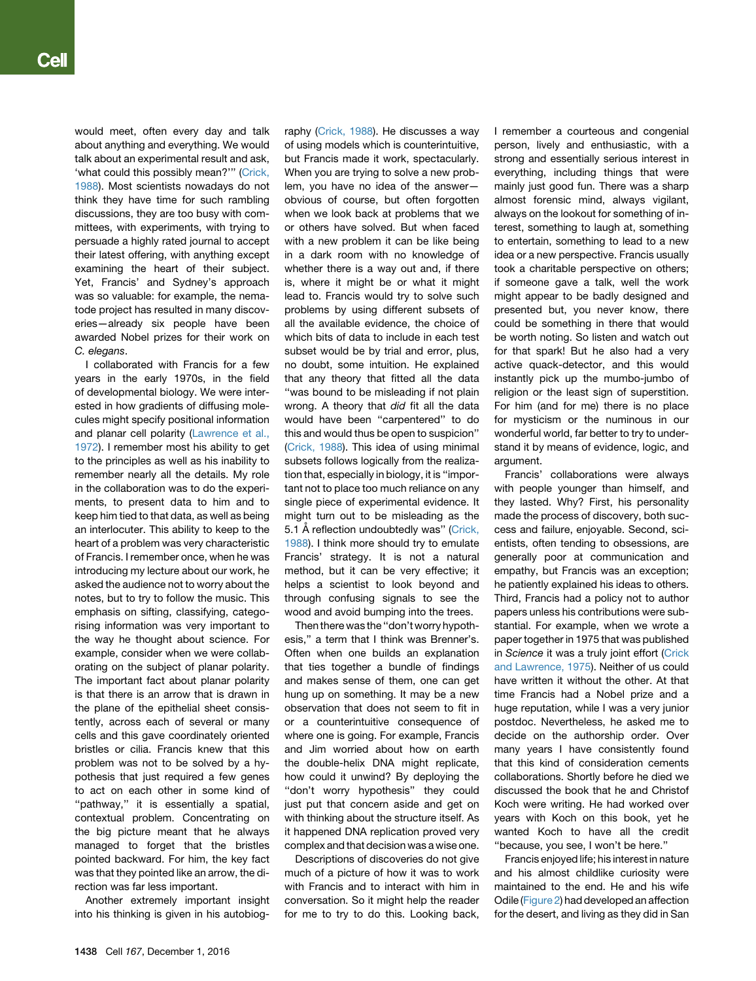would meet, often every day and talk about anything and everything. We would talk about an experimental result and ask, 'what could this possibly mean?''' [\(Crick,](#page-3-2) [1988](#page-3-2)). Most scientists nowadays do not think they have time for such rambling discussions, they are too busy with committees, with experiments, with trying to persuade a highly rated journal to accept their latest offering, with anything except examining the heart of their subject. Yet, Francis' and Sydney's approach was so valuable: for example, the nematode project has resulted in many discoveries—already six people have been awarded Nobel prizes for their work on *C. elegans*.

I collaborated with Francis for a few years in the early 1970s, in the field of developmental biology. We were interested in how gradients of diffusing molecules might specify positional information and planar cell polarity [\(Lawrence et al.,](#page-3-11) [1972](#page-3-11)). I remember most his ability to get to the principles as well as his inability to remember nearly all the details. My role in the collaboration was to do the experiments, to present data to him and to keep him tied to that data, as well as being an interlocuter. This ability to keep to the heart of a problem was very characteristic of Francis. I remember once, when he was introducing my lecture about our work, he asked the audience not to worry about the notes, but to try to follow the music. This emphasis on sifting, classifying, categorising information was very important to the way he thought about science. For example, consider when we were collaborating on the subject of planar polarity. The important fact about planar polarity is that there is an arrow that is drawn in the plane of the epithelial sheet consistently, across each of several or many cells and this gave coordinately oriented bristles or cilia. Francis knew that this problem was not to be solved by a hypothesis that just required a few genes to act on each other in some kind of "pathway," it is essentially a spatial, contextual problem. Concentrating on the big picture meant that he always managed to forget that the bristles pointed backward. For him, the key fact was that they pointed like an arrow, the direction was far less important.

Another extremely important insight into his thinking is given in his autobiography ([Crick, 1988\)](#page-3-2). He discusses a way of using models which is counterintuitive, but Francis made it work, spectacularly. When you are trying to solve a new problem, you have no idea of the answer obvious of course, but often forgotten when we look back at problems that we or others have solved. But when faced with a new problem it can be like being in a dark room with no knowledge of whether there is a way out and, if there is, where it might be or what it might lead to. Francis would try to solve such problems by using different subsets of all the available evidence, the choice of which bits of data to include in each test subset would be by trial and error, plus, no doubt, some intuition. He explained that any theory that fitted all the data ''was bound to be misleading if not plain wrong. A theory that *did* fit all the data would have been ''carpentered'' to do this and would thus be open to suspicion'' [\(Crick, 1988](#page-3-2)). This idea of using minimal subsets follows logically from the realization that, especially in biology, it is ''important not to place too much reliance on any single piece of experimental evidence. It might turn out to be misleading as the 5.1 Å reflection undoubtedly was" [\(Crick,](#page-3-2) [1988\)](#page-3-2). I think more should try to emulate Francis' strategy. It is not a natural method, but it can be very effective; it helps a scientist to look beyond and through confusing signals to see the wood and avoid bumping into the trees.

Then there was the ''don't worry hypothesis,'' a term that I think was Brenner's. Often when one builds an explanation that ties together a bundle of findings and makes sense of them, one can get hung up on something. It may be a new observation that does not seem to fit in or a counterintuitive consequence of where one is going. For example, Francis and Jim worried about how on earth the double-helix DNA might replicate, how could it unwind? By deploying the "don't worry hypothesis" they could just put that concern aside and get on with thinking about the structure itself. As it happened DNA replication proved very complex and that decision was a wise one.

Descriptions of discoveries do not give much of a picture of how it was to work with Francis and to interact with him in conversation. So it might help the reader for me to try to do this. Looking back,

I remember a courteous and congenial person, lively and enthusiastic, with a strong and essentially serious interest in everything, including things that were mainly just good fun. There was a sharp almost forensic mind, always vigilant, always on the lookout for something of interest, something to laugh at, something to entertain, something to lead to a new idea or a new perspective. Francis usually took a charitable perspective on others; if someone gave a talk, well the work might appear to be badly designed and presented but, you never know, there could be something in there that would be worth noting. So listen and watch out for that spark! But he also had a very active quack-detector, and this would instantly pick up the mumbo-jumbo of religion or the least sign of superstition. For him (and for me) there is no place for mysticism or the numinous in our wonderful world, far better to try to understand it by means of evidence, logic, and argument.

Francis' collaborations were always with people younger than himself, and they lasted. Why? First, his personality made the process of discovery, both success and failure, enjoyable. Second, scientists, often tending to obsessions, are generally poor at communication and empathy, but Francis was an exception; he patiently explained his ideas to others. Third, Francis had a policy not to author papers unless his contributions were substantial. For example, when we wrote a paper together in 1975 that was published in *Science* it was a truly joint effort [\(Crick](#page-3-12) [and Lawrence, 1975\)](#page-3-12). Neither of us could have written it without the other. At that time Francis had a Nobel prize and a huge reputation, while I was a very junior postdoc. Nevertheless, he asked me to decide on the authorship order. Over many years I have consistently found that this kind of consideration cements collaborations. Shortly before he died we discussed the book that he and Christof Koch were writing. He had worked over years with Koch on this book, yet he wanted Koch to have all the credit ''because, you see, I won't be here.''

Francis enjoyed life; his interest in nature and his almost childlike curiosity were maintained to the end. He and his wife Odile ([Figure 2](#page-3-13)) had developed an affection for the desert, and living as they did in San